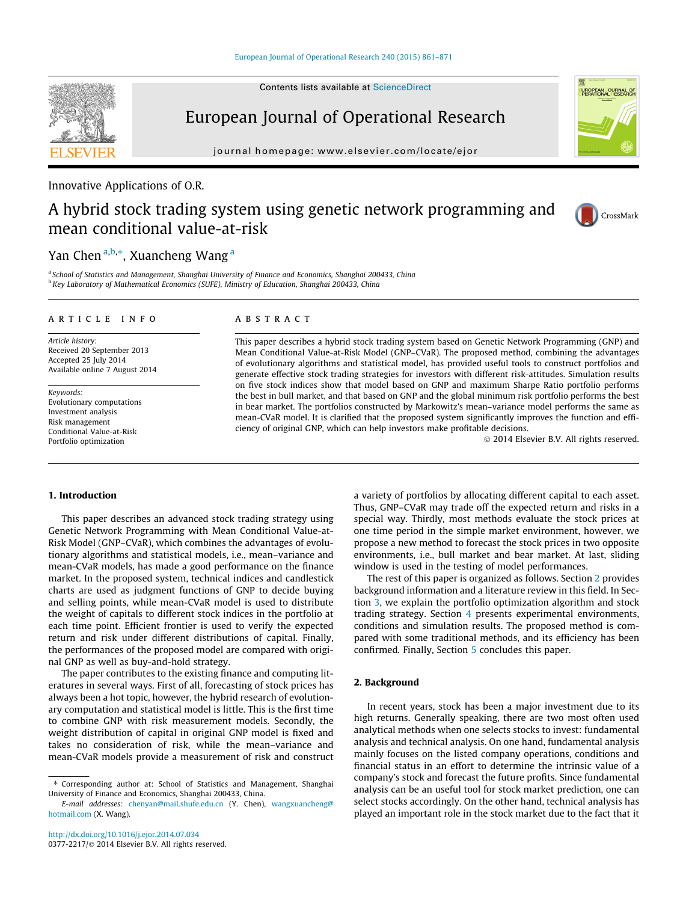Contents lists available at [ScienceDirect](http://www.sciencedirect.com/science/journal/03772217)

# European Journal of Operational Research

journal homepage: [www.elsevier.com/locate/ejor](http://www.elsevier.com/locate/ejor)

### Innovative Applications of O.R.

# A hybrid stock trading system using genetic network programming and mean conditional value-at-risk

## Yan Chen <sup>a,b,</sup>\*, Xuancheng Wang <sup>a</sup>

<sup>a</sup> School of Statistics and Management, Shanghai University of Finance and Economics, Shanghai 200433, China <sup>b</sup> Key Laboratory of Mathematical Economics (SUFE), Ministry of Education, Shanghai 200433, China

#### article info

Article history: Received 20 September 2013 Accepted 25 July 2014 Available online 7 August 2014

Keywords: Evolutionary computations Investment analysis Risk management Conditional Value-at-Risk Portfolio optimization

#### ABSTRACT

This paper describes a hybrid stock trading system based on Genetic Network Programming (GNP) and Mean Conditional Value-at-Risk Model (GNP–CVaR). The proposed method, combining the advantages of evolutionary algorithms and statistical model, has provided useful tools to construct portfolios and generate effective stock trading strategies for investors with different risk-attitudes. Simulation results on five stock indices show that model based on GNP and maximum Sharpe Ratio portfolio performs the best in bull market, and that based on GNP and the global minimum risk portfolio performs the best in bear market. The portfolios constructed by Markowitz's mean–variance model performs the same as mean-CVaR model. It is clarified that the proposed system significantly improves the function and efficiency of original GNP, which can help investors make profitable decisions.

© 2014 Elsevier B.V. All rights reserved.

#### 1. Introduction

This paper describes an advanced stock trading strategy using Genetic Network Programming with Mean Conditional Value-at-Risk Model (GNP–CVaR), which combines the advantages of evolutionary algorithms and statistical models, i.e., mean–variance and mean-CVaR models, has made a good performance on the finance market. In the proposed system, technical indices and candlestick charts are used as judgment functions of GNP to decide buying and selling points, while mean-CVaR model is used to distribute the weight of capitals to different stock indices in the portfolio at each time point. Efficient frontier is used to verify the expected return and risk under different distributions of capital. Finally, the performances of the proposed model are compared with original GNP as well as buy-and-hold strategy.

The paper contributes to the existing finance and computing literatures in several ways. First of all, forecasting of stock prices has always been a hot topic, however, the hybrid research of evolutionary computation and statistical model is little. This is the first time to combine GNP with risk measurement models. Secondly, the weight distribution of capital in original GNP model is fixed and takes no consideration of risk, while the mean–variance and mean-CVaR models provide a measurement of risk and construct a variety of portfolios by allocating different capital to each asset. Thus, GNP–CVaR may trade off the expected return and risks in a special way. Thirdly, most methods evaluate the stock prices at one time period in the simple market environment, however, we propose a new method to forecast the stock prices in two opposite environments, i.e., bull market and bear market. At last, sliding window is used in the testing of model performances.

The rest of this paper is organized as follows. Section 2 provides background information and a literature review in this field. In Section [3](#page--1-0), we explain the portfolio optimization algorithm and stock trading strategy. Section [4](#page--1-0) presents experimental environments, conditions and simulation results. The proposed method is compared with some traditional methods, and its efficiency has been confirmed. Finally, Section [5](#page--1-0) concludes this paper.

#### 2. Background

In recent years, stock has been a major investment due to its high returns. Generally speaking, there are two most often used analytical methods when one selects stocks to invest: fundamental analysis and technical analysis. On one hand, fundamental analysis mainly focuses on the listed company operations, conditions and financial status in an effort to determine the intrinsic value of a company's stock and forecast the future profits. Since fundamental analysis can be an useful tool for stock market prediction, one can select stocks accordingly. On the other hand, technical analysis has played an important role in the stock market due to the fact that it





CrossMark

<sup>⇑</sup> Corresponding author at: School of Statistics and Management, Shanghai University of Finance and Economics, Shanghai 200433, China.

E-mail addresses: [chenyan@mail.shufe.edu.cn](mailto:chenyan@mail.shufe.edu.cn) (Y. Chen), [wangxuancheng@](mailto:wangxuancheng@hotmail.com) [hotmail.com](mailto:wangxuancheng@hotmail.com) (X. Wang).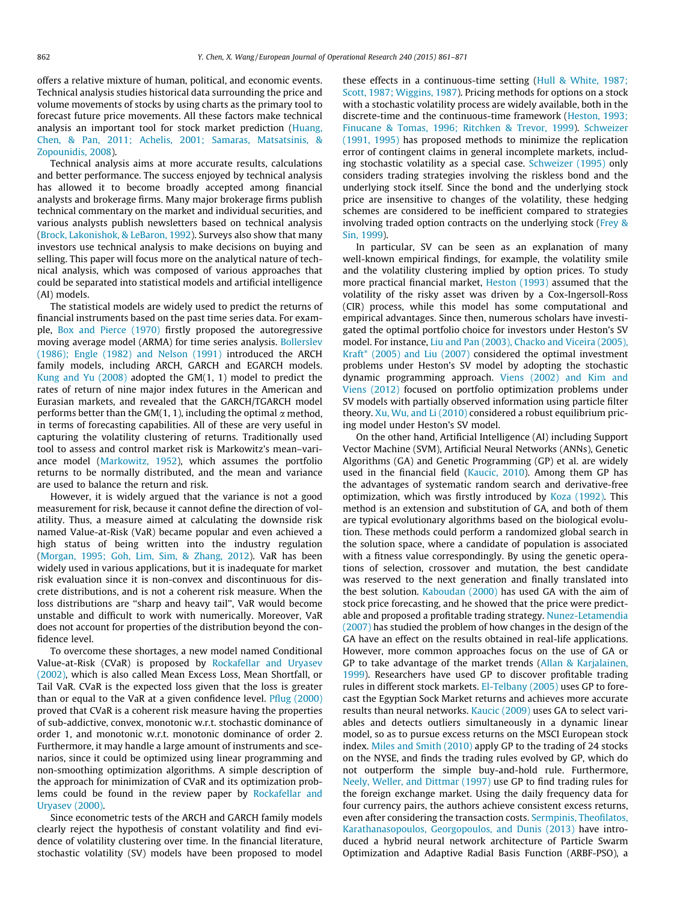offers a relative mixture of human, political, and economic events. Technical analysis studies historical data surrounding the price and volume movements of stocks by using charts as the primary tool to forecast future price movements. All these factors make technical analysis an important tool for stock market prediction [\(Huang,](#page--1-0) [Chen, & Pan, 2011; Achelis, 2001; Samaras, Matsatsinis, &](#page--1-0) [Zopounidis, 2008](#page--1-0)).

Technical analysis aims at more accurate results, calculations and better performance. The success enjoyed by technical analysis has allowed it to become broadly accepted among financial analysts and brokerage firms. Many major brokerage firms publish technical commentary on the market and individual securities, and various analysts publish newsletters based on technical analysis ([Brock, Lakonishok, & LeBaron, 1992](#page--1-0)). Surveys also show that many investors use technical analysis to make decisions on buying and selling. This paper will focus more on the analytical nature of technical analysis, which was composed of various approaches that could be separated into statistical models and artificial intelligence (AI) models.

The statistical models are widely used to predict the returns of financial instruments based on the past time series data. For example, [Box and Pierce \(1970\)](#page--1-0) firstly proposed the autoregressive moving average model (ARMA) for time series analysis. [Bollerslev](#page--1-0) [\(1986\); Engle \(1982\) and Nelson \(1991\)](#page--1-0) introduced the ARCH family models, including ARCH, GARCH and EGARCH models. [Kung and Yu \(2008\)](#page--1-0) adopted the GM(1, 1) model to predict the rates of return of nine major index futures in the American and Eurasian markets, and revealed that the GARCH/TGARCH model performs better than the GM(1, 1), including the optimal  $\alpha$  method, in terms of forecasting capabilities. All of these are very useful in capturing the volatility clustering of returns. Traditionally used tool to assess and control market risk is Markowitz's mean–variance model [\(Markowitz, 1952\)](#page--1-0), which assumes the portfolio returns to be normally distributed, and the mean and variance are used to balance the return and risk.

However, it is widely argued that the variance is not a good measurement for risk, because it cannot define the direction of volatility. Thus, a measure aimed at calculating the downside risk named Value-at-Risk (VaR) became popular and even achieved a high status of being written into the industry regulation ([Morgan, 1995; Goh, Lim, Sim, & Zhang, 2012](#page--1-0)). VaR has been widely used in various applications, but it is inadequate for market risk evaluation since it is non-convex and discontinuous for discrete distributions, and is not a coherent risk measure. When the loss distributions are ''sharp and heavy tail'', VaR would become unstable and difficult to work with numerically. Moreover, VaR does not account for properties of the distribution beyond the confidence level.

To overcome these shortages, a new model named Conditional Value-at-Risk (CVaR) is proposed by [Rockafellar and Uryasev](#page--1-0) [\(2002\),](#page--1-0) which is also called Mean Excess Loss, Mean Shortfall, or Tail VaR. CVaR is the expected loss given that the loss is greater than or equal to the VaR at a given confidence level. [Pflug \(2000\)](#page--1-0) proved that CVaR is a coherent risk measure having the properties of sub-addictive, convex, monotonic w.r.t. stochastic dominance of order 1, and monotonic w.r.t. monotonic dominance of order 2. Furthermore, it may handle a large amount of instruments and scenarios, since it could be optimized using linear programming and non-smoothing optimization algorithms. A simple description of the approach for minimization of CVaR and its optimization problems could be found in the review paper by [Rockafellar and](#page--1-0) [Uryasev \(2000\)](#page--1-0).

Since econometric tests of the ARCH and GARCH family models clearly reject the hypothesis of constant volatility and find evidence of volatility clustering over time. In the financial literature, stochastic volatility (SV) models have been proposed to model

these effects in a continuous-time setting ([Hull & White, 1987;](#page--1-0) [Scott, 1987; Wiggins, 1987](#page--1-0)). Pricing methods for options on a stock with a stochastic volatility process are widely available, both in the discrete-time and the continuous-time framework ([Heston, 1993;](#page--1-0) [Finucane & Tomas, 1996; Ritchken & Trevor, 1999\)](#page--1-0). [Schweizer](#page--1-0) [\(1991, 1995\)](#page--1-0) has proposed methods to minimize the replication error of contingent claims in general incomplete markets, including stochastic volatility as a special case. [Schweizer \(1995\)](#page--1-0) only considers trading strategies involving the riskless bond and the underlying stock itself. Since the bond and the underlying stock price are insensitive to changes of the volatility, these hedging schemes are considered to be inefficient compared to strategies involving traded option contracts on the underlying stock [\(Frey &](#page--1-0) [Sin, 1999\)](#page--1-0).

In particular, SV can be seen as an explanation of many well-known empirical findings, for example, the volatility smile and the volatility clustering implied by option prices. To study more practical financial market, [Heston \(1993\)](#page--1-0) assumed that the volatility of the risky asset was driven by a Cox-Ingersoll-Ross (CIR) process, while this model has some computational and empirical advantages. Since then, numerous scholars have investigated the optimal portfolio choice for investors under Heston's SV model. For instance, [Liu and Pan \(2003\), Chacko and Viceira \(2005\),](#page--1-0) [Kraft\\* \(2005\) and Liu \(2007\)](#page--1-0) considered the optimal investment problems under Heston's SV model by adopting the stochastic dynamic programming approach. [Viens \(2002\) and Kim and](#page--1-0) [Viens \(2012\)](#page--1-0) focused on portfolio optimization problems under SV models with partially observed information using particle filter theory. [Xu, Wu, and Li \(2010\)](#page--1-0) considered a robust equilibrium pricing model under Heston's SV model.

On the other hand, Artificial Intelligence (AI) including Support Vector Machine (SVM), Artificial Neural Networks (ANNs), Genetic Algorithms (GA) and Genetic Programming (GP) et al. are widely used in the financial field ([Kaucic, 2010](#page--1-0)). Among them GP has the advantages of systematic random search and derivative-free optimization, which was firstly introduced by [Koza \(1992\)](#page--1-0). This method is an extension and substitution of GA, and both of them are typical evolutionary algorithms based on the biological evolution. These methods could perform a randomized global search in the solution space, where a candidate of population is associated with a fitness value correspondingly. By using the genetic operations of selection, crossover and mutation, the best candidate was reserved to the next generation and finally translated into the best solution. [Kaboudan \(2000\)](#page--1-0) has used GA with the aim of stock price forecasting, and he showed that the price were predictable and proposed a profitable trading strategy. [Nunez-Letamendia](#page--1-0) [\(2007\)](#page--1-0) has studied the problem of how changes in the design of the GA have an effect on the results obtained in real-life applications. However, more common approaches focus on the use of GA or GP to take advantage of the market trends ([Allan & Karjalainen,](#page--1-0) [1999\)](#page--1-0). Researchers have used GP to discover profitable trading rules in different stock markets. [El-Telbany \(2005\)](#page--1-0) uses GP to forecast the Egyptian Sock Market returns and achieves more accurate results than neural networks. [Kaucic \(2009\)](#page--1-0) uses GA to select variables and detects outliers simultaneously in a dynamic linear model, so as to pursue excess returns on the MSCI European stock index. [Miles and Smith \(2010\)](#page--1-0) apply GP to the trading of 24 stocks on the NYSE, and finds the trading rules evolved by GP, which do not outperform the simple buy-and-hold rule. Furthermore, [Neely, Weller, and Dittmar \(1997\)](#page--1-0) use GP to find trading rules for the foreign exchange market. Using the daily frequency data for four currency pairs, the authors achieve consistent excess returns, even after considering the transaction costs. [Sermpinis, Theofilatos,](#page--1-0) [Karathanasopoulos, Georgopoulos, and Dunis \(2013\)](#page--1-0) have introduced a hybrid neural network architecture of Particle Swarm Optimization and Adaptive Radial Basis Function (ARBF-PSO), a